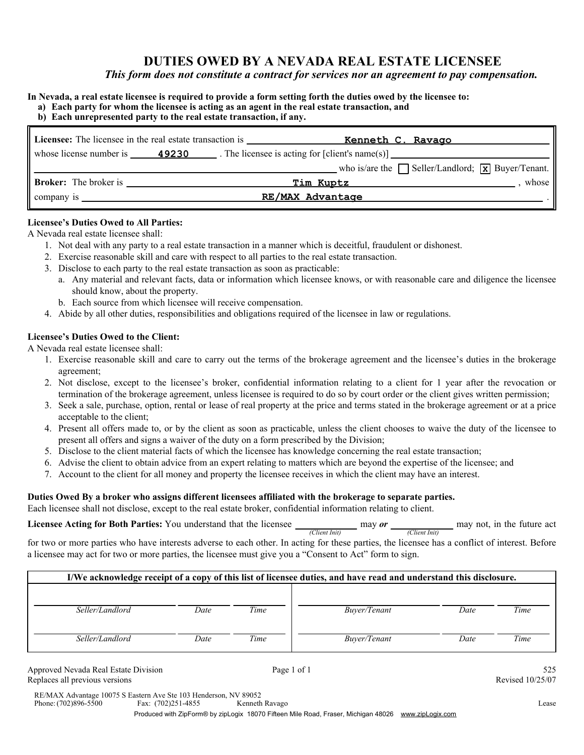### **DUTIES OWED BY A NEVADA REAL ESTATE LICENSEE**

*This form does not constitute a contract for services nor an agreement to pay compensation.*

### **In Nevada, a real estate licensee is required to provide a form setting forth the duties owed by the licensee to:**

| a) Each party for whom the licensee is acting as an agent in the real estate transaction, and |  |  |
|-----------------------------------------------------------------------------------------------|--|--|

### **b) Each unrepresented party to the real estate transaction, if any.**

| <b>Licensee:</b> The licensee in the real estate transaction is | Kenneth C. Ravago                                                                                             |       |
|-----------------------------------------------------------------|---------------------------------------------------------------------------------------------------------------|-------|
|                                                                 | whose license number is $\qquad \qquad \textbf{49230}$ . The licensee is acting for [client's name(s)]        |       |
|                                                                 | who is/are the $\Box$ Seller/Landlord; $\Box$ Buyer/Tenant.                                                   |       |
| <b>Broker:</b> The broker is                                    | Tim Kuptz and Service and Service and Service and Service and Service and Service and Service and Service and | whose |
| company is $\qquad \qquad$                                      | RE/MAX Advantage                                                                                              |       |

### **Licensee's Duties Owed to All Parties:**

A Nevada real estate licensee shall:

- 1. Not deal with any party to a real estate transaction in a manner which is deceitful, fraudulent or dishonest.
- 2. Exercise reasonable skill and care with respect to all parties to the real estate transaction.
- 3. Disclose to each party to the real estate transaction as soon as practicable:
	- a. Any material and relevant facts, data or information which licensee knows, or with reasonable care and diligence the licensee should know, about the property.
	- b. Each source from which licensee will receive compensation.
- 4. Abide by all other duties, responsibilities and obligations required of the licensee in law or regulations.

### **Licensee's Duties Owed to the Client:**

A Nevada real estate licensee shall:

- 1. Exercise reasonable skill and care to carry out the terms of the brokerage agreement and the licensee's duties in the brokerage agreement;
- 2. Not disclose, except to the licensee's broker, confidential information relating to a client for 1 year after the revocation or termination of the brokerage agreement, unless licensee is required to do so by court order or the client gives written permission;
- 3. Seek a sale, purchase, option, rental or lease of real property at the price and terms stated in the brokerage agreement or at a price acceptable to the client;
- 4. Present all offers made to, or by the client as soon as practicable, unless the client chooses to waive the duty of the licensee to present all offers and signs a waiver of the duty on a form prescribed by the Division;
- 5. Disclose to the client material facts of which the licensee has knowledge concerning the real estate transaction;
- 6. Advise the client to obtain advice from an expert relating to matters which are beyond the expertise of the licensee; and
- 7. Account to the client for all money and property the licensee receives in which the client may have an interest.

### **Duties Owed By a broker who assigns different licensees affiliated with the brokerage to separate parties.**

Each licensee shall not disclose, except to the real estate broker, confidential information relating to client.

**Licensee Acting for Both Parties:** You understand that the licensee *(Client Init) (Client Init)* may not, in the future act

for two or more parties who have interests adverse to each other. In acting for these parties, the licensee has a conflict of interest. Before a licensee may act for two or more parties, the licensee must give you a "Consent to Act" form to sign.

| I/We acknowledge receipt of a copy of this list of licensee duties, and have read and understand this disclosure. |      |      |              |      |      |  |  |
|-------------------------------------------------------------------------------------------------------------------|------|------|--------------|------|------|--|--|
|                                                                                                                   |      |      |              |      |      |  |  |
| Seller/Landlord                                                                                                   | Date | Time | Buver/Tenant | Date | Time |  |  |
| Seller/Landlord                                                                                                   | Date | Time | Buver/Tenant | Date | Time |  |  |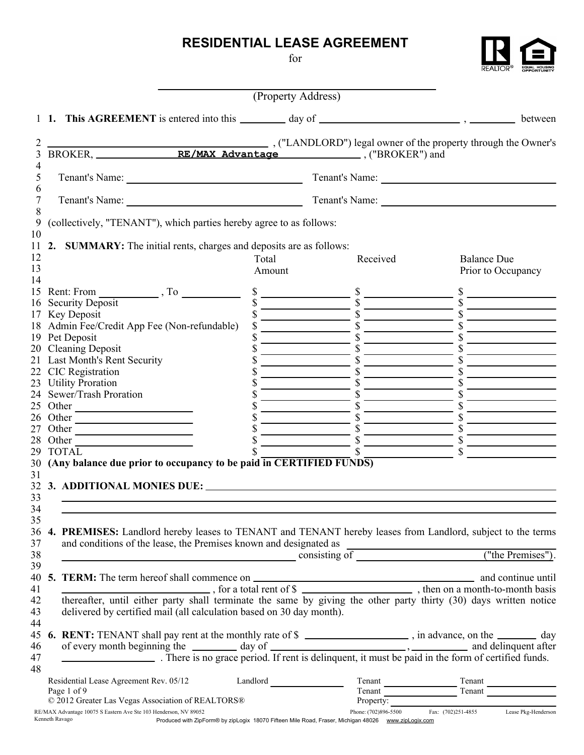# **RESIDENTIAL LEASE AGREEMENT**

for

| .©   | <b>EQUAL HOUSING</b> |
|------|----------------------|
| REAL | <b>OPPORTUNITY</b>   |

|                      |                                                                                                                                                                                 | (Property Address) |                                                                                                     |                                                                                                                                                                                                                                                                                                                                                                                                                                                                                                                      |
|----------------------|---------------------------------------------------------------------------------------------------------------------------------------------------------------------------------|--------------------|-----------------------------------------------------------------------------------------------------|----------------------------------------------------------------------------------------------------------------------------------------------------------------------------------------------------------------------------------------------------------------------------------------------------------------------------------------------------------------------------------------------------------------------------------------------------------------------------------------------------------------------|
|                      |                                                                                                                                                                                 |                    |                                                                                                     |                                                                                                                                                                                                                                                                                                                                                                                                                                                                                                                      |
| 2                    |                                                                                                                                                                                 |                    |                                                                                                     |                                                                                                                                                                                                                                                                                                                                                                                                                                                                                                                      |
| 3                    |                                                                                                                                                                                 |                    |                                                                                                     |                                                                                                                                                                                                                                                                                                                                                                                                                                                                                                                      |
| 4<br>5<br>6          |                                                                                                                                                                                 |                    |                                                                                                     | Tenant's Name: 1988 and 1988 and 1988 and 1988 and 1988 and 1988 and 1988 and 1988 and 1988 and 1988 and 1988 and 1988 and 1988 and 1988 and 1988 and 1988 and 1988 and 1988 and 1988 and 1988 and 1988 and 1988 and 1988 and                                                                                                                                                                                                                                                                                        |
| 7<br>8               | Tenant's Name: 2008. [19] Tenant's Name: 2008. [19] Tenant's Name: 2008. [19] Tenant's Name: 2008. [19] Tenant                                                                  |                    |                                                                                                     | Tenant's Name:                                                                                                                                                                                                                                                                                                                                                                                                                                                                                                       |
| 9<br>10              | (collectively, "TENANT"), which parties hereby agree to as follows:                                                                                                             |                    |                                                                                                     |                                                                                                                                                                                                                                                                                                                                                                                                                                                                                                                      |
| 11                   | 2. SUMMARY: The initial rents, charges and deposits are as follows:                                                                                                             |                    |                                                                                                     |                                                                                                                                                                                                                                                                                                                                                                                                                                                                                                                      |
| 12<br>13<br>14       |                                                                                                                                                                                 | Total<br>Amount    | Received                                                                                            | <b>Balance Due</b><br>Prior to Occupancy                                                                                                                                                                                                                                                                                                                                                                                                                                                                             |
|                      | 15 Rent: From $\qquad \qquad$ , To $\qquad \qquad$                                                                                                                              |                    |                                                                                                     | $\begin{array}{r} \n  \begin{array}{r}\n  \text{s} \\ \text{s} \\ \hline\n  \text{s} \\ \text{s} \\ \hline\n  \text{s} \\ \text{s} \\ \text{s} \\ \hline\n  \text{s} \\ \text{s} \\ \hline\n  \text{s} \\ \text{s} \\ \hline\n  \text{s} \\ \text{s} \\ \hline\n  \text{s} \\ \text{s} \\ \hline\n  \text{s} \\ \text{s} \\ \hline\n  \text{s} \\ \text{s} \\ \hline\n  \text{s} \\ \text{s} \\ \text{s} \\ \hline\n  \text{s} \\ \text{s} \\ \hline\n  \text{s} \\ \text{s} \\ \text{s} \\ \hline\n  \text{s} \\ \$ |
|                      | 16 Security Deposit                                                                                                                                                             |                    |                                                                                                     |                                                                                                                                                                                                                                                                                                                                                                                                                                                                                                                      |
|                      | 17 Key Deposit<br>18 Admin Fee/Credit App Fee (Non-refundable)                                                                                                                  |                    |                                                                                                     |                                                                                                                                                                                                                                                                                                                                                                                                                                                                                                                      |
|                      | 19 Pet Deposit                                                                                                                                                                  |                    |                                                                                                     |                                                                                                                                                                                                                                                                                                                                                                                                                                                                                                                      |
|                      | 20 Cleaning Deposit                                                                                                                                                             |                    |                                                                                                     |                                                                                                                                                                                                                                                                                                                                                                                                                                                                                                                      |
|                      | 21 Last Month's Rent Security                                                                                                                                                   |                    |                                                                                                     |                                                                                                                                                                                                                                                                                                                                                                                                                                                                                                                      |
|                      | 22 CIC Registration                                                                                                                                                             |                    |                                                                                                     |                                                                                                                                                                                                                                                                                                                                                                                                                                                                                                                      |
|                      | 23 Utility Proration                                                                                                                                                            |                    |                                                                                                     |                                                                                                                                                                                                                                                                                                                                                                                                                                                                                                                      |
| 24                   | Sewer/Trash Proration                                                                                                                                                           |                    |                                                                                                     |                                                                                                                                                                                                                                                                                                                                                                                                                                                                                                                      |
| 25                   |                                                                                                                                                                                 |                    |                                                                                                     |                                                                                                                                                                                                                                                                                                                                                                                                                                                                                                                      |
| 26                   | Other<br>Other                                                                                                                                                                  |                    |                                                                                                     |                                                                                                                                                                                                                                                                                                                                                                                                                                                                                                                      |
| 27                   | Other                                                                                                                                                                           |                    |                                                                                                     |                                                                                                                                                                                                                                                                                                                                                                                                                                                                                                                      |
| 28                   | Other                                                                                                                                                                           |                    |                                                                                                     |                                                                                                                                                                                                                                                                                                                                                                                                                                                                                                                      |
| 29                   | <b>TOTAL</b>                                                                                                                                                                    |                    |                                                                                                     |                                                                                                                                                                                                                                                                                                                                                                                                                                                                                                                      |
| 30                   | (Any balance due prior to occupancy to be paid in CERTIFIED FUNDS)                                                                                                              |                    |                                                                                                     |                                                                                                                                                                                                                                                                                                                                                                                                                                                                                                                      |
| 31<br>32<br>33<br>34 | 3. ADDITIONAL MONIES DUE:                                                                                                                                                       |                    |                                                                                                     |                                                                                                                                                                                                                                                                                                                                                                                                                                                                                                                      |
| 35<br>36<br>37<br>38 | 4. PREMISES: Landlord hereby leases to TENANT and TENANT hereby leases from Landlord, subject to the terms<br>and conditions of the lease, the Premises known and designated as |                    |                                                                                                     |                                                                                                                                                                                                                                                                                                                                                                                                                                                                                                                      |
| 39                   |                                                                                                                                                                                 |                    |                                                                                                     |                                                                                                                                                                                                                                                                                                                                                                                                                                                                                                                      |
| 40                   |                                                                                                                                                                                 |                    |                                                                                                     |                                                                                                                                                                                                                                                                                                                                                                                                                                                                                                                      |
| 41                   |                                                                                                                                                                                 |                    |                                                                                                     |                                                                                                                                                                                                                                                                                                                                                                                                                                                                                                                      |
| 42<br>43             | delivered by certified mail (all calculation based on 30 day month).                                                                                                            |                    |                                                                                                     |                                                                                                                                                                                                                                                                                                                                                                                                                                                                                                                      |
| 44<br>45<br>46       | 6. RENT: TENANT shall pay rent at the monthly rate of $\frac{1}{2}$ = $\frac{1}{2}$ , in advance, on the $\frac{1}{2}$ day                                                      |                    |                                                                                                     |                                                                                                                                                                                                                                                                                                                                                                                                                                                                                                                      |
| 47<br>48             | of every month beginning the day of day of delinquent, it must be paid in the form of certified funds.                                                                          |                    |                                                                                                     |                                                                                                                                                                                                                                                                                                                                                                                                                                                                                                                      |
|                      | Residential Lease Agreement Rev. 05/12 Landlord Landlord<br>Page 1 of 9                                                                                                         |                    |                                                                                                     | Tenant<br>Tenant<br>Tenant<br>Tenant<br>Tenant<br>Tenant<br>Tenant<br>Tenant<br>Tenant<br>Tenant<br>Tenant<br>Tenant<br>Tenant<br>Tenant<br>Tenant<br>De Carrier de Carrier de Carrier de Carrier de Carrier de Carrier de Carrier de Carrier de Carrier de Carrier de Carr                                                                                                                                                                                                                                          |
|                      | © 2012 Greater Las Vegas Association of REALTORS®                                                                                                                               |                    |                                                                                                     | Property: The CONSECTION Fax: (702)251-4855 Lease Pkg-Henderson                                                                                                                                                                                                                                                                                                                                                                                                                                                      |
| Kenneth Ravago       | RE/MAX Advantage 10075 S Eastern Ave Ste 103 Henderson, NV 89052                                                                                                                |                    | Produced with ZipForm® by zipLogix 18070 Fifteen Mile Road, Fraser, Michigan 48026 www.zipLogix.com |                                                                                                                                                                                                                                                                                                                                                                                                                                                                                                                      |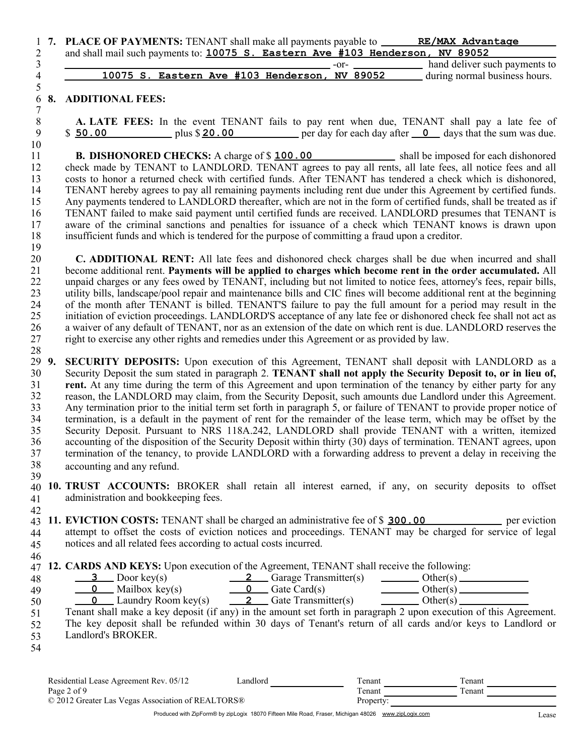|   | 1 7. PLACE OF PAYMENTS: TENANT shall make all payments payable to ______<br>RE/MAX Advantage |  |
|---|----------------------------------------------------------------------------------------------|--|
|   | and shall mail such payments to: 10075 S. Eastern Ave #103 Henderson, NV 89052               |  |
|   | hand deliver such payments to<br>$-0$ r $-$                                                  |  |
| 4 | 10075 S. Eastern Ave #103 Henderson, NV 89052<br>during normal business hours.               |  |
|   |                                                                                              |  |

### 6 **8. ADDITIONAL FEES:** 7

28

**A. LATE FEES:** In the event TENANT fails to pay rent when due, TENANT shall pay a late fee of  $$ 50.00$  plus  $$20.00$  per day for each day after  $\overline{\phantom{0}}$  days that the sum was due.

**B. DISHONORED CHECKS:** A charge of \$ 100.00 shall be imposed for each dishonored check made by TENANT to LANDLORD. TENANT agrees to pay all rents, all late fees, all notice fees and all costs to honor a returned check with certified funds. After TENANT has tendered a check which is dishonored, TENANT hereby agrees to pay all remaining payments including rent due under this Agreement by certified funds. Any payments tendered to LANDLORD thereafter, which are not in the form of certified funds, shall be treated as if TENANT failed to make said payment until certified funds are received. LANDLORD presumes that TENANT is aware of the criminal sanctions and penalties for issuance of a check which TENANT knows is drawn upon insufficient funds and which is tendered for the purpose of committing a fraud upon a creditor. **B. DISHONORED CHECKS:** A charge of \$100.00

20 21 22 23 24 25 26 27 **C. ADDITIONAL RENT:** All late fees and dishonored check charges shall be due when incurred and shall become additional rent. **Payments will be applied to charges which become rent in the order accumulated.** All unpaid charges or any fees owed by TENANT, including but not limited to notice fees, attorney's fees, repair bills, utility bills, landscape/pool repair and maintenance bills and CIC fines will become additional rent at the beginning of the month after TENANT is billed. TENANT'S failure to pay the full amount for a period may result in the initiation of eviction proceedings. LANDLORD'S acceptance of any late fee or dishonored check fee shall not act as a waiver of any default of TENANT, nor as an extension of the date on which rent is due. LANDLORD reserves the right to exercise any other rights and remedies under this Agreement or as provided by law.

29 9. 30 31 32 33 34 35 36 37 38 39 **9. SECURITY DEPOSITS:** Upon execution of this Agreement, TENANT shall deposit with LANDLORD as a Security Deposit the sum stated in paragraph 2. **TENANT shall not apply the Security Deposit to, or in lieu of, rent.** At any time during the term of this Agreement and upon termination of the tenancy by either party for any reason, the LANDLORD may claim, from the Security Deposit, such amounts due Landlord under this Agreement. Any termination prior to the initial term set forth in paragraph 5, or failure of TENANT to provide proper notice of termination, is a default in the payment of rent for the remainder of the lease term, which may be offset by the Security Deposit. Pursuant to NRS 118A.242, LANDLORD shall provide TENANT with a written, itemized accounting of the disposition of the Security Deposit within thirty (30) days of termination. TENANT agrees, upon accounting and any refund. termination of the tenancy, to provide LANDLORD with a forwarding address to prevent a delay in receiving the

- 40 **10. TRUST ACCOUNTS:** BROKER shall retain all interest earned, if any, on security deposits to offset 41 administration and bookkeeping fees.
- 42 43 11. **EVICTION COSTS:** TENANT shall be charged an administrative fee of \$ 300.00 per eviction 44 45 attempt to offset the costs of eviction notices and proceedings. TENANT may be charged for service of legal notices and all related fees according to actual costs incurred.

46 47 **12. CARDS AND KEYS:** Upon execution of the Agreement, TENANT shall receive the following:

| 48 | Door key(s)                         | Garage Transmitter(s) | Other(s)                                       |
|----|-------------------------------------|-----------------------|------------------------------------------------|
| 49 | $\frac{1}{\sqrt{2}}$ Mailbox key(s) | Gate Card(s)          | $Other(s)$ .<br>the property of the control of |
| 50 | . Laundry Room key(s)               | Gate Transmitter(s)   | Other(s)                                       |

50 51 Tenant shall make a key deposit (if any) in the amount set forth in paragraph 2 upon execution of this Agreement.

52 53 The key deposit shall be refunded within 30 days of Tenant's return of all cards and/or keys to Landlord or Landlord's BROKER.

54

| Residential Lease Agreement Rev. 05/12            | Landlord | l`enant   | l`enant   |  |
|---------------------------------------------------|----------|-----------|-----------|--|
| Page 2 of 9                                       |          | l`enant   | $T$ enant |  |
| © 2012 Greater Las Vegas Association of REALTORS® |          | Property: |           |  |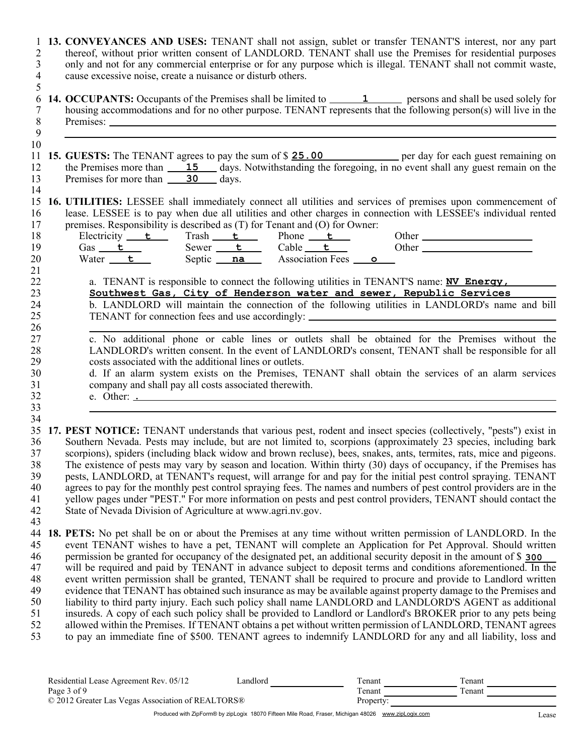| 1<br>$\overline{c}$<br>$\overline{3}$<br>$\overline{4}$<br>5 | 13. CONVEYANCES AND USES: TENANT shall not assign, sublet or transfer TENANT'S interest, nor any part<br>thereof, without prior written consent of LANDLORD. TENANT shall use the Premises for residential purposes<br>only and not for any commercial enterprise or for any purpose which is illegal. TENANT shall not commit waste,<br>cause excessive noise, create a nuisance or disturb others.                                                                                                                                                                                                                                                                                                                                                                                                                                                                                                                                                                                                                                                                                                                                                                   |
|--------------------------------------------------------------|------------------------------------------------------------------------------------------------------------------------------------------------------------------------------------------------------------------------------------------------------------------------------------------------------------------------------------------------------------------------------------------------------------------------------------------------------------------------------------------------------------------------------------------------------------------------------------------------------------------------------------------------------------------------------------------------------------------------------------------------------------------------------------------------------------------------------------------------------------------------------------------------------------------------------------------------------------------------------------------------------------------------------------------------------------------------------------------------------------------------------------------------------------------------|
| 6<br>$\overline{7}$<br>$\,8\,$<br>$\boldsymbol{9}$           | 14. OCCUPANTS: Occupants of the Premises shall be limited to ________________________ persons and shall be used solely for<br>housing accommodations and for no other purpose. TENANT represents that the following person(s) will live in the                                                                                                                                                                                                                                                                                                                                                                                                                                                                                                                                                                                                                                                                                                                                                                                                                                                                                                                         |
| 10<br>11<br>12<br>13<br>14                                   | 15. GUESTS: The TENANT agrees to pay the sum of \$25.00 per day for each guest remaining on the Premises more than 15 days. Notwithstanding the foregoing, in no event shall any guest remain on the<br>Premises for more than 30 days.                                                                                                                                                                                                                                                                                                                                                                                                                                                                                                                                                                                                                                                                                                                                                                                                                                                                                                                                |
| 15<br>16<br>17<br>18                                         | 16. UTILITIES: LESSEE shall immediately connect all utilities and services of premises upon commencement of<br>lease. LESSEE is to pay when due all utilities and other charges in connection with LESSEE's individual rented<br>premises. Responsibility is described as (T) for Tenant and (O) for Owner:<br>Electricity $\frac{t}{\text{Gas } t}$ Trash $\frac{t}{\text{Sower } t}$ Phone $\frac{t}{\text{Cable } t}$ Other                                                                                                                                                                                                                                                                                                                                                                                                                                                                                                                                                                                                                                                                                                                                         |
| 19<br>20<br>21                                               | Gas t Sewer t Cable t (<br>Water t Septic na Association Fees o                                                                                                                                                                                                                                                                                                                                                                                                                                                                                                                                                                                                                                                                                                                                                                                                                                                                                                                                                                                                                                                                                                        |
| 22<br>23<br>24<br>25                                         | a. TENANT is responsible to connect the following utilities in TENANT'S name: <b>NV Energy</b> ,<br>Southwest Gas, City of Henderson water and sewer, Republic Services<br>b. LANDLORD will maintain the connection of the following utilities in LANDLORD's name and bill<br>TENANT for connection fees and use accordingly: _________________________________                                                                                                                                                                                                                                                                                                                                                                                                                                                                                                                                                                                                                                                                                                                                                                                                        |
| 26<br>27<br>28<br>29<br>30<br>31<br>32<br>33                 | c. No additional phone or cable lines or outlets shall be obtained for the Premises without the<br>LANDLORD's written consent. In the event of LANDLORD's consent, TENANT shall be responsible for all<br>costs associated with the additional lines or outlets.<br>d. If an alarm system exists on the Premises, TENANT shall obtain the services of an alarm services<br>company and shall pay all costs associated therewith.                                                                                                                                                                                                                                                                                                                                                                                                                                                                                                                                                                                                                                                                                                                                       |
| 34<br>35<br>36<br>37<br>38<br>39<br>40<br>41<br>42<br>43     | 17. PEST NOTICE: TENANT understands that various pest, rodent and insect species (collectively, "pests") exist in<br>Southern Nevada. Pests may include, but are not limited to, scorpions (approximately 23 species, including bark<br>scorpions), spiders (including black widow and brown recluse), bees, snakes, ants, termites, rats, mice and pigeons.<br>The existence of pests may vary by season and location. Within thirty (30) days of occupancy, if the Premises has<br>pests, LANDLORD, at TENANT's request, will arrange for and pay for the initial pest control spraying. TENANT<br>agrees to pay for the monthly pest control spraying fees. The names and numbers of pest control providers are in the<br>yellow pages under "PEST." For more information on pests and pest control providers, TENANT should contact the<br>State of Nevada Division of Agriculture at www.agri.nv.gov.                                                                                                                                                                                                                                                             |
| 44<br>45<br>46<br>47<br>48<br>49<br>50<br>51<br>52<br>53     | <b>18. PETS:</b> No pet shall be on or about the Premises at any time without written permission of LANDLORD. In the<br>event TENANT wishes to have a pet, TENANT will complete an Application for Pet Approval. Should written<br>permission be granted for occupancy of the designated pet, an additional security deposit in the amount of \$ 300<br>will be required and paid by TENANT in advance subject to deposit terms and conditions aforementioned. In the<br>event written permission shall be granted, TENANT shall be required to procure and provide to Landlord written<br>evidence that TENANT has obtained such insurance as may be available against property damage to the Premises and<br>liability to third party injury. Each such policy shall name LANDLORD and LANDLORD'S AGENT as additional<br>insureds. A copy of each such policy shall be provided to Landlord or Landlord's BROKER prior to any pets being<br>allowed within the Premises. If TENANT obtains a pet without written permission of LANDLORD, TENANT agrees<br>to pay an immediate fine of \$500. TENANT agrees to indemnify LANDLORD for any and all liability, loss and |

| Residential Lease Agreement Rev. 05/12            | andlord | l'enant   | l'enant |  |
|---------------------------------------------------|---------|-----------|---------|--|
| Page 3 of 9                                       |         | l'enant   | l'enant |  |
| © 2012 Greater Las Vegas Association of REALTORS® |         | Property: |         |  |
|                                                   |         |           |         |  |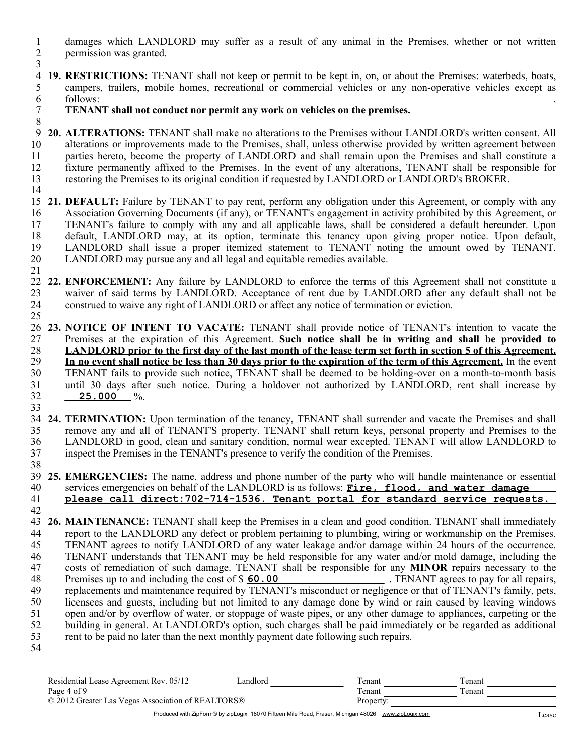- 1 2 3 damages which LANDLORD may suffer as a result of any animal in the Premises, whether or not written permission was granted.
- 4 **19. RESTRICTIONS:** TENANT shall not keep or permit to be kept in, on, or about the Premises: waterbeds, boats, 5 6 campers, trailers, mobile homes, recreational or commercial vehicles or any non-operative vehicles except as follows: .
	- **TENANT shall not conduct nor permit any work on vehicles on the premises.**
- 9 **20. ALTERATIONS:** TENANT shall make no alterations to the Premises without LANDLORD's written consent. All 10 11 12 13 14 alterations or improvements made to the Premises, shall, unless otherwise provided by written agreement between parties hereto, become the property of LANDLORD and shall remain upon the Premises and shall constitute a fixture permanently affixed to the Premises. In the event of any alterations, TENANT shall be responsible for restoring the Premises to its original condition if requested by LANDLORD or LANDLORD's BROKER.
- 15 **21. DEFAULT:** Failure by TENANT to pay rent, perform any obligation under this Agreement, or comply with any 16 17 18 19 20 Association Governing Documents (if any), or TENANT's engagement in activity prohibited by this Agreement, or TENANT's failure to comply with any and all applicable laws, shall be considered a default hereunder. Upon default, LANDLORD may, at its option, terminate this tenancy upon giving proper notice. Upon default, LANDLORD shall issue a proper itemized statement to TENANT noting the amount owed by TENANT. LANDLORD may pursue any and all legal and equitable remedies available.
- 22 **22. ENFORCEMENT:** Any failure by LANDLORD to enforce the terms of this Agreement shall not constitute a 23 24 25 waiver of said terms by LANDLORD. Acceptance of rent due by LANDLORD after any default shall not be construed to waive any right of LANDLORD or affect any notice of termination or eviction.
- 26 **23. NOTICE OF INTENT TO VACATE:** TENANT shall provide notice of TENANT's intention to vacate the 27 28 29 30 31 32 33 Premises at the expiration of this Agreement. **Such notice shall be in writing and shall be provided to LANDLORD prior to the first day of the last month of the lease term set forth in section 5 of this Agreement. In no event shall notice be less than 30 days prior to the expiration of the term of this Agreement.** In the event TENANT fails to provide such notice, TENANT shall be deemed to be holding-over on a month-to-month basis until 30 days after such notice. During a holdover not authorized by LANDLORD, rent shall increase by %. **25.000**
- 34 **24. TERMINATION:** Upon termination of the tenancy, TENANT shall surrender and vacate the Premises and shall 35 36 37 remove any and all of TENANT'S property. TENANT shall return keys, personal property and Premises to the LANDLORD in good, clean and sanitary condition, normal wear excepted. TENANT will allow LANDLORD to inspect the Premises in the TENANT's presence to verify the condition of the Premises.
- 39 **25. EMERGENCIES:** The name, address and phone number of the party who will handle maintenance or essential 40 services emergencies on behalf of the LANDLORD is as follows: **Fire, flood, and water damage please call direct:702-714-1536. Tenant portal for standard service requests.**
- 41 42

38

7 8

21

43 **26. MAINTENANCE:** TENANT shall keep the Premises in a clean and good condition. TENANT shall immediately 44 45 46 47 48 49 50 51 52 53 report to the LANDLORD any defect or problem pertaining to plumbing, wiring or workmanship on the Premises. TENANT agrees to notify LANDLORD of any water leakage and/or damage within 24 hours of the occurrence. TENANT understands that TENANT may be held responsible for any water and/or mold damage, including the costs of remediation of such damage. TENANT shall be responsible for any **MINOR** repairs necessary to the Premises up to and including the cost of \$ 60.00 TENANT agrees to pay for all repairs. Premises up to and including the cost of \$ 60.00 TENANT agrees to pay for all repairs, replacements and maintenance required by TENANT's misconduct or negligence or that of TENANT's family, pets, licensees and guests, including but not limited to any damage done by wind or rain caused by leaving windows open and/or by overflow of water, or stoppage of waste pipes, or any other damage to appliances, carpeting or the building in general. At LANDLORD's option, such charges shall be paid immediately or be regarded as additional rent to be paid no later than the next monthly payment date following such repairs. 54

| Residential Lease Agreement Rev. 05/12            | Landlord | l`enant   | l`enant |  |
|---------------------------------------------------|----------|-----------|---------|--|
| Page 4 of 9                                       |          | Tenant    | Tenant  |  |
| © 2012 Greater Las Vegas Association of REALTORS® |          | Property: |         |  |
|                                                   |          |           |         |  |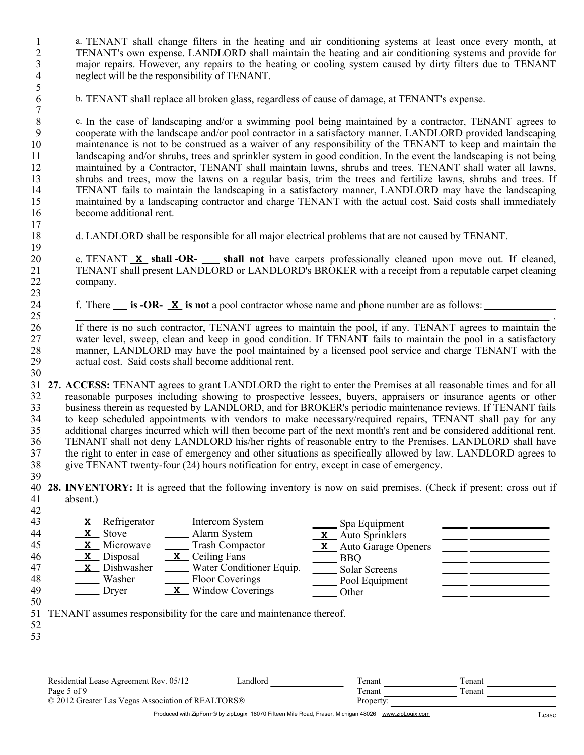a. TENANT shall change filters in the heating and air conditioning systems at least once every month, at TENANT's own expense. LANDLORD shall maintain the heating and air conditioning systems and provide for major repairs. However, any repairs to the heating or cooling system caused by dirty filters due to TENANT neglect will be the responsibility of TENANT.

b. TENANT shall replace all broken glass, regardless of cause of damage, at TENANT's expense.

8 9 10 11 12 13 14 15 16 c. In the case of landscaping and/or a swimming pool being maintained by a contractor, TENANT agrees to cooperate with the landscape and/or pool contractor in a satisfactory manner. LANDLORD provided landscaping maintenance is not to be construed as a waiver of any responsibility of the TENANT to keep and maintain the landscaping and/or shrubs, trees and sprinkler system in good condition. In the event the landscaping is not being maintained by a Contractor, TENANT shall maintain lawns, shrubs and trees. TENANT shall water all lawns, shrubs and trees, mow the lawns on a regular basis, trim the trees and fertilize lawns, shrubs and trees. If TENANT fails to maintain the landscaping in a satisfactory manner, LANDLORD may have the landscaping maintained by a landscaping contractor and charge TENANT with the actual cost. Said costs shall immediately become additional rent.

18 d. LANDLORD shall be responsible for all major electrical problems that are not caused by TENANT.

e. TENANT **x** shall -OR- shall not have carpets professionally cleaned upon move out. If cleaned, company. TENANT shall present LANDLORD or LANDLORD's BROKER with a receipt from a reputable carpet cleaning

f. There <u>simes is -OR-  $\mathbf{\underline{x}}$ </u> is not a pool contractor whose name and phone number are as follows:

If there is no such contractor, TENANT agrees to maintain the pool, if any. TENANT agrees to maintain the water level, sweep, clean and keep in good condition. If TENANT fails to maintain the pool in a satisfactory manner, LANDLORD may have the pool maintained by a licensed pool service and charge TENANT with the actual cost. Said costs shall become additional rent.

31 **27. ACCESS:** TENANT agrees to grant LANDLORD the right to enter the Premises at all reasonable times and for all 32 33 34 35 36 37 38 reasonable purposes including showing to prospective lessees, buyers, appraisers or insurance agents or other business therein as requested by LANDLORD, and for BROKER's periodic maintenance reviews. If TENANT fails to keep scheduled appointments with vendors to make necessary/required repairs, TENANT shall pay for any additional charges incurred which will then become part of the next month's rent and be considered additional rent. TENANT shall not deny LANDLORD his/her rights of reasonable entry to the Premises. LANDLORD shall have the right to enter in case of emergency and other situations as specifically allowed by law. LANDLORD agrees to give TENANT twenty-four (24) hours notification for entry, except in case of emergency.

39

17

- 40 **28. INVENTORY:** It is agreed that the following inventory is now on said premises. (Check if present; cross out if 41 42 absent.)
- 43 **X** Refrigerator **II** Intercom System Spa Equipment 44 **X** Stove **X Alarm System** Stove Alarm System Auto Sprinklers 45 **X X** Microwave \_\_\_\_\_\_ Trash Compactor \_\_\_\_\_\_ **X** Microwave Trash Compactor Auto Garage Openers  $\underline{\mathbf{x}}$  Ceiling Fans<br>Water Conditioner Equip.  $\underline{\mathbf{B}}$  BBQ<br>Solar Screens **X X** 46 47 **X** Dishwasher<br>Washer Dishwasher \_\_\_\_\_\_ Water Conditioner Equip. \_\_\_\_\_ Solar Screens 48 Washer **Floor Coverings** Pool Equipment 49 Dryer **X** Window Coverings <u>I</u> Other 50 51 TENANT assumes responsibility for the care and maintenance thereof. 52 53 Residential Lease Agreement Rev. 05/12 Landlord Tenant Tenant Tenant Page 5 of 9 Tenant Tenant Tenant Tenant © 2012 Greater Las Vegas Association of REALTORS® Property:

Produced with ZipForm® by zipLogix 18070 Fifteen Mile Road, Fraser, Michigan 48026 www.zipLogix.com

.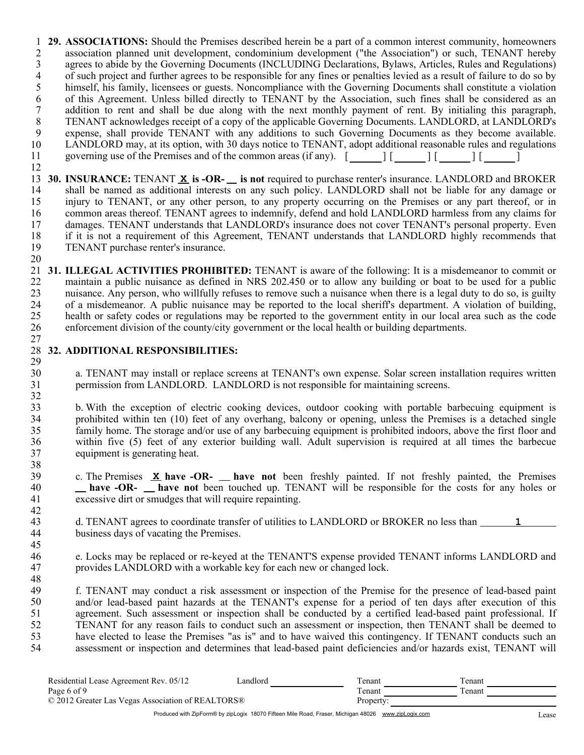1 **29. ASSOCIATIONS:** Should the Premises described herein be a part of a common interest community, homeowners 2 3 4 5 6 7 8 9 10 11 12 association planned unit development, condominium development ("the Association") or such, TENANT hereby agrees to abide by the Governing Documents (INCLUDING Declarations, Bylaws, Articles, Rules and Regulations) of such project and further agrees to be responsible for any fines or penalties levied as a result of failure to do so by himself, his family, licensees or guests. Noncompliance with the Governing Documents shall constitute a violation of this Agreement. Unless billed directly to TENANT by the Association, such fines shall be considered as an addition to rent and shall be due along with the next monthly payment of rent. By initialing this paragraph, TENANT acknowledges receipt of a copy of the applicable Governing Documents. LANDLORD, at LANDLORD's expense, shall provide TENANT with any additions to such Governing Documents as they become available. LANDLORD may, at its option, with 30 days notice to TENANT, adopt additional reasonable rules and regulations governing use of the Premises and of the common areas (if any).  $[$   $]$   $[$   $]$  $[$   $]$  $[$   $]$  $[$   $]$  $[$   $]$  $[$ 

13 **30.** INSURANCE: TENANT  $\underline{x}$  is -OR- is not required to purchase renter's insurance. LANDLORD and BROKER 14 15 16 17 18 19 shall be named as additional interests on any such policy. LANDLORD shall not be liable for any damage or injury to TENANT, or any other person, to any property occurring on the Premises or any part thereof, or in common areas thereof. TENANT agrees to indemnify, defend and hold LANDLORD harmless from any claims for damages. TENANT understands that LANDLORD's insurance does not cover TENANT's personal property. Even if it is not a requirement of this Agreement, TENANT understands that LANDLORD highly recommends that TENANT purchase renter's insurance.

20

21 **31. ILLEGAL ACTIVITIES PROHIBITED:** TENANT is aware of the following: It is a misdemeanor to commit or 22 23 24 25 26 27 maintain a public nuisance as defined in NRS 202.450 or to allow any building or boat to be used for a public nuisance. Any person, who willfully refuses to remove such a nuisance when there is a legal duty to do so, is guilty of a misdemeanor. A public nuisance may be reported to the local sheriff's department. A violation of building, health or safety codes or regulations may be reported to the government entity in our local area such as the code enforcement division of the county/city government or the local health or building departments.

### 28 **32. ADDITIONAL RESPONSIBILITIES:** 29

30 31 32 a. TENANT may install or replace screens at TENANT's own expense. Solar screen installation requires written permission from LANDLORD. LANDLORD is not responsible for maintaining screens.

33 34 35 36 37 38 b. With the exception of electric cooking devices, outdoor cooking with portable barbecuing equipment is prohibited within ten (10) feet of any overhang, balcony or opening, unless the Premises is a detached single family home. The storage and/or use of any barbecuing equipment is prohibited indoors, above the first floor and within five (5) feet of any exterior building wall. Adult supervision is required at all times the barbecue equipment is generating heat.

39 40 41 c. The Premises **X** have -OR- have not been freshly painted. If not freshly painted, the Premises **have -OR- have not** been touched up. TENANT will be responsible for the costs for any holes or excessive dirt or smudges that will require repainting.

- 42 43 44 d. TENANT agrees to coordinate transfer of utilities to LANDLORD or BROKER no less than **1**business days of vacating the Premises.
- 45 46 47 48 e. Locks may be replaced or re-keyed at the TENANT'S expense provided TENANT informs LANDLORD and provides LANDLORD with a workable key for each new or changed lock.

49 50 51 52 53 54 f. TENANT may conduct a risk assessment or inspection of the Premise for the presence of lead-based paint and/or lead-based paint hazards at the TENANT's expense for a period of ten days after execution of this agreement. Such assessment or inspection shall be conducted by a certified lead-based paint professional. If TENANT for any reason fails to conduct such an assessment or inspection, then TENANT shall be deemed to have elected to lease the Premises "as is" and to have waived this contingency. If TENANT conducts such an assessment or inspection and determines that lead-based paint deficiencies and/or hazards exist, TENANT will

| Residential Lease Agreement Rev. 05/12            | andlord | l`enant   | l`enant. |
|---------------------------------------------------|---------|-----------|----------|
| Page 6 of 9                                       |         | l`enant   | l`enant  |
| © 2012 Greater Las Vegas Association of REALTORS® |         | Property: |          |
|                                                   |         |           |          |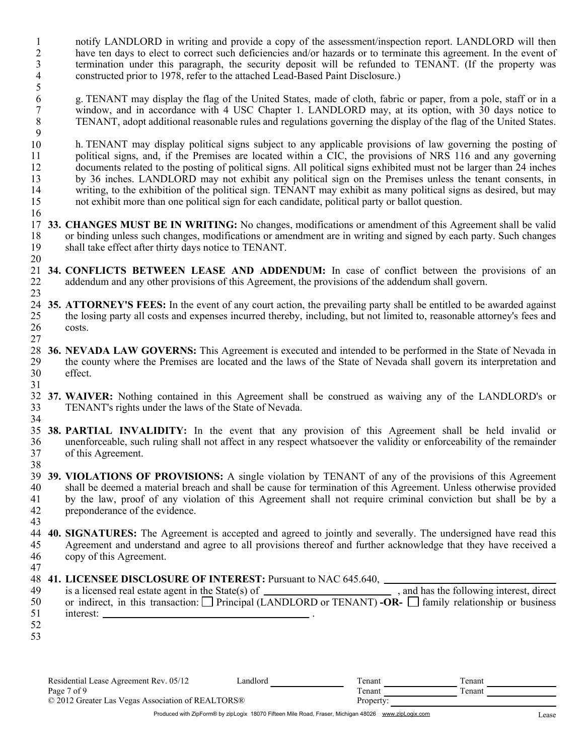- 1 2 3 4 notify LANDLORD in writing and provide a copy of the assessment/inspection report. LANDLORD will then have ten days to elect to correct such deficiencies and/or hazards or to terminate this agreement. In the event of termination under this paragraph, the security deposit will be refunded to TENANT. (If the property was constructed prior to 1978, refer to the attached Lead-Based Paint Disclosure.)
- 5 6 7 8 9 g. TENANT may display the flag of the United States, made of cloth, fabric or paper, from a pole, staff or in a window, and in accordance with 4 USC Chapter 1. LANDLORD may, at its option, with 30 days notice to TENANT, adopt additional reasonable rules and regulations governing the display of the flag of the United States.
- 10 11 12 13 14 15 h. TENANT may display political signs subject to any applicable provisions of law governing the posting of political signs, and, if the Premises are located within a CIC, the provisions of NRS 116 and any governing documents related to the posting of political signs. All political signs exhibited must not be larger than 24 inches by 36 inches. LANDLORD may not exhibit any political sign on the Premises unless the tenant consents, in writing, to the exhibition of the political sign. TENANT may exhibit as many political signs as desired, but may not exhibit more than one political sign for each candidate, political party or ballot question.
- 17 **33. CHANGES MUST BE IN WRITING:** No changes, modifications or amendment of this Agreement shall be valid 18 19 20 or binding unless such changes, modifications or amendment are in writing and signed by each party. Such changes shall take effect after thirty days notice to TENANT.
- 21 **34. CONFLICTS BETWEEN LEASE AND ADDENDUM:** In case of conflict between the provisions of an 22 23 addendum and any other provisions of this Agreement, the provisions of the addendum shall govern.
- 24 **35. ATTORNEY'S FEES:** In the event of any court action, the prevailing party shall be entitled to be awarded against 25 26 the losing party all costs and expenses incurred thereby, including, but not limited to, reasonable attorney's fees and costs.
- 28 **36. NEVADA LAW GOVERNS:** This Agreement is executed and intended to be performed in the State of Nevada in 29 30 31 effect. the county where the Premises are located and the laws of the State of Nevada shall govern its interpretation and
- 32 **37. WAIVER:** Nothing contained in this Agreement shall be construed as waiving any of the LANDLORD's or 33 34 TENANT's rights under the laws of the State of Nevada.
- 35 **38. PARTIAL INVALIDITY:** In the event that any provision of this Agreement shall be held invalid or 36 37 38 of this Agreement. unenforceable, such ruling shall not affect in any respect whatsoever the validity or enforceability of the remainder
- 39 **39. VIOLATIONS OF PROVISIONS:** A single violation by TENANT of any of the provisions of this Agreement 40 41 42 preponderance of the evidence. shall be deemed a material breach and shall be cause for termination of this Agreement. Unless otherwise provided by the law, proof of any violation of this Agreement shall not require criminal conviction but shall be by a
- 43 44 **40. SIGNATURES:** The Agreement is accepted and agreed to jointly and severally. The undersigned have read this 45 46 copy of this Agreement. Agreement and understand and agree to all provisions thereof and further acknowledge that they have received a
	- 48 **41. LICENSEE DISCLOSURE OF INTEREST:** Pursuant to NAC 645.640,

| 49 | and has the following interest, direct<br>is a licensed real estate agent in the State(s) of $\frac{1}{\sqrt{1-\frac{1}{\sqrt{1-\frac{1}{\sqrt{1-\frac{1}{\sqrt{1-\frac{1}{\sqrt{1-\frac{1}{\sqrt{1-\frac{1}{\sqrt{1-\frac{1}{\sqrt{1-\frac{1}{\sqrt{1-\frac{1}{\sqrt{1-\frac{1}{\sqrt{1-\frac{1}{\sqrt{1-\frac{1}{\sqrt{1-\frac{1}{\sqrt{1-\frac{1}{\sqrt{1-\frac{1}{\sqrt{1-\frac{1}{\sqrt{1-\frac{1}{\sqrt{1-\frac{1}{\sqrt$ |
|----|---------------------------------------------------------------------------------------------------------------------------------------------------------------------------------------------------------------------------------------------------------------------------------------------------------------------------------------------------------------------------------------------------------------------------------|
| 50 | or indirect, in this transaction: $\Box$ Principal (LANDLORD or TENANT) -OR- $\Box$ family relationship or business                                                                                                                                                                                                                                                                                                             |
|    | interest:                                                                                                                                                                                                                                                                                                                                                                                                                       |
| 52 |                                                                                                                                                                                                                                                                                                                                                                                                                                 |

53

47

16

27

Residential Lease Agreement Rev. 05/12 Page 7 of 9 © 2012 Greater Las Vegas Association of REALTORS® Property: Landlord Tenant Tenant Tenant Tenant Tenant Tenant **Tenant**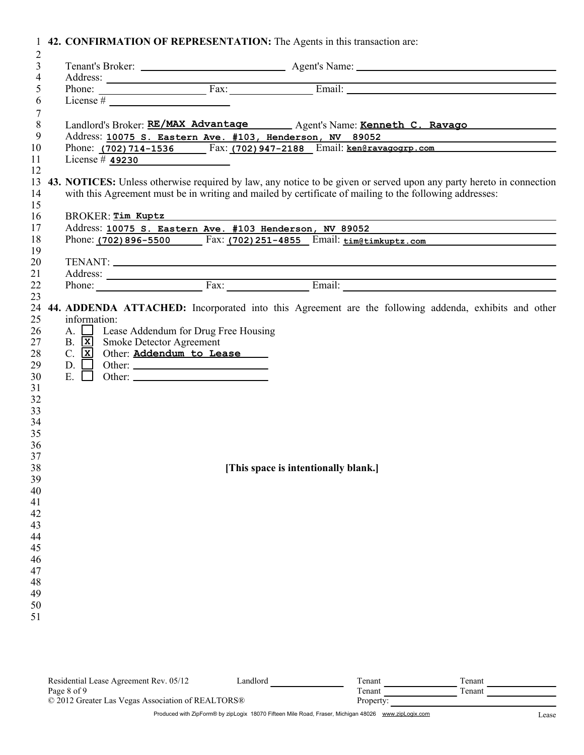|  |  |  |  |  | 1 42. CONFIRMATION OF REPRESENTATION: The Agents in this transaction are: |
|--|--|--|--|--|---------------------------------------------------------------------------|
|--|--|--|--|--|---------------------------------------------------------------------------|

| $\overline{2}$                   |                                                                                                                |                                                                                                                                |
|----------------------------------|----------------------------------------------------------------------------------------------------------------|--------------------------------------------------------------------------------------------------------------------------------|
| $\mathfrak{Z}$<br>$\overline{4}$ |                                                                                                                |                                                                                                                                |
| 5                                |                                                                                                                |                                                                                                                                |
| 6                                |                                                                                                                |                                                                                                                                |
| 7                                |                                                                                                                |                                                                                                                                |
| $\,8\,$                          |                                                                                                                | Landlord's Broker: RE/MAX Advantage Agent's Name: Kenneth C. Ravago                                                            |
| 9                                |                                                                                                                |                                                                                                                                |
| 10                               |                                                                                                                | Address: 10075 S. Eastern Ave. #103, Henderson, NV 89052<br>Phone: (702) 714-1536 Fax: (702) 947-2188 Email: ken@ravagogrp.com |
| 11                               | License # $49230$                                                                                              |                                                                                                                                |
| 12                               |                                                                                                                |                                                                                                                                |
| 13                               |                                                                                                                | 43. NOTICES: Unless otherwise required by law, any notice to be given or served upon any party hereto in connection            |
| 14                               |                                                                                                                | with this Agreement must be in writing and mailed by certificate of mailing to the following addresses:                        |
| 15                               |                                                                                                                |                                                                                                                                |
| 16                               | BROKER: Tim Kuptz Manuscripture Manuscripture Manuscripture Manuscripture Manuscripture Manuscripture Manuscri |                                                                                                                                |
| 17                               |                                                                                                                | Address: 10075 S. Eastern Ave. #103 Henderson, NV 89052                                                                        |
| 18                               |                                                                                                                | Phone: (702) 896-5500 Fax: (702) 251-4855 Email: time tim kuptz.com                                                            |
| 19                               |                                                                                                                |                                                                                                                                |
| 20                               |                                                                                                                |                                                                                                                                |
| 21                               |                                                                                                                |                                                                                                                                |
| 22                               |                                                                                                                |                                                                                                                                |
| 23                               |                                                                                                                |                                                                                                                                |
| 24                               |                                                                                                                | 44. ADDENDA ATTACHED: Incorporated into this Agreement are the following addenda, exhibits and other                           |
| 25                               | information:                                                                                                   |                                                                                                                                |
| 26                               | A. Sease Addendum for Drug Free Housing                                                                        |                                                                                                                                |
| 27                               | B. <b>x</b> Smoke Detector Agreement                                                                           |                                                                                                                                |
| 28                               | C. X Other: Addendum to Lease                                                                                  |                                                                                                                                |
| 29                               |                                                                                                                |                                                                                                                                |
| 30                               |                                                                                                                |                                                                                                                                |
| 31                               |                                                                                                                |                                                                                                                                |
| 32                               |                                                                                                                |                                                                                                                                |
| 33                               |                                                                                                                |                                                                                                                                |
| 34                               |                                                                                                                |                                                                                                                                |
| 35                               |                                                                                                                |                                                                                                                                |
| 36                               |                                                                                                                |                                                                                                                                |
| 37                               |                                                                                                                |                                                                                                                                |
| 38                               |                                                                                                                | [This space is intentionally blank.]                                                                                           |
| 39                               |                                                                                                                |                                                                                                                                |
| 40                               |                                                                                                                |                                                                                                                                |
| 41                               |                                                                                                                |                                                                                                                                |
| 42                               |                                                                                                                |                                                                                                                                |
| 43                               |                                                                                                                |                                                                                                                                |
| 44                               |                                                                                                                |                                                                                                                                |
| 45                               |                                                                                                                |                                                                                                                                |
| 46                               |                                                                                                                |                                                                                                                                |
| 47                               |                                                                                                                |                                                                                                                                |
| 48                               |                                                                                                                |                                                                                                                                |
| 49                               |                                                                                                                |                                                                                                                                |
| 50                               |                                                                                                                |                                                                                                                                |
| 51                               |                                                                                                                |                                                                                                                                |
|                                  |                                                                                                                |                                                                                                                                |
|                                  |                                                                                                                |                                                                                                                                |

| Residential Lease Agreement Rev. 05/12            | andlord | l`enant   | Tenant  |
|---------------------------------------------------|---------|-----------|---------|
| Page 8 of 9                                       |         | l`enant   | l`enant |
| © 2012 Greater Las Vegas Association of REALTORS® |         | Property: |         |
|                                                   |         |           |         |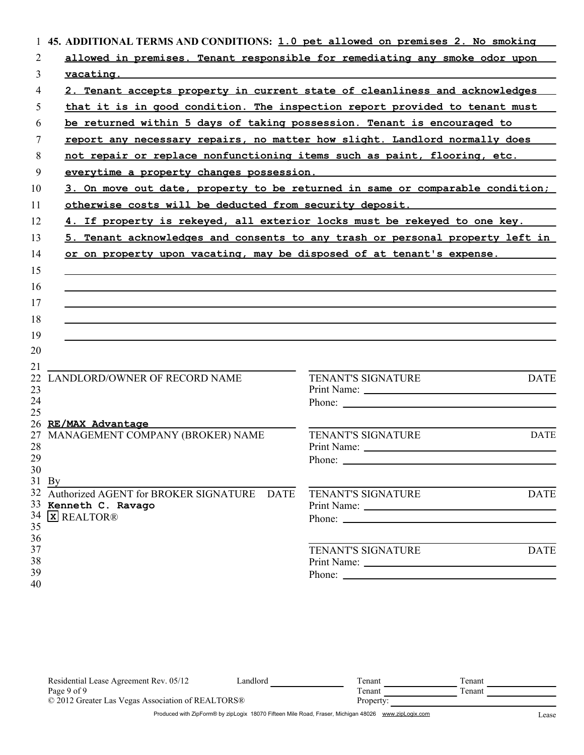| 1        | 45. ADDITIONAL TERMS AND CONDITIONS: 1.0 pet allowed on premises 2. No smoking |                                                                                                                                                                                                                                      |
|----------|--------------------------------------------------------------------------------|--------------------------------------------------------------------------------------------------------------------------------------------------------------------------------------------------------------------------------------|
| 2        |                                                                                | allowed in premises. Tenant responsible for remediating any smoke odor upon                                                                                                                                                          |
| 3        | vacating.                                                                      |                                                                                                                                                                                                                                      |
| 4        |                                                                                | 2. Tenant accepts property in current state of cleanliness and acknowledges                                                                                                                                                          |
| 5        |                                                                                | that it is in good condition. The inspection report provided to tenant must                                                                                                                                                          |
| 6        | be returned within 5 days of taking possession. Tenant is encouraged to        |                                                                                                                                                                                                                                      |
| 7        | report any necessary repairs, no matter how slight. Landlord normally does     |                                                                                                                                                                                                                                      |
| 8        |                                                                                | not repair or replace nonfunctioning items such as paint, flooring, etc.                                                                                                                                                             |
| 9        | everytime a property changes possession.                                       |                                                                                                                                                                                                                                      |
| 10       |                                                                                | 3. On move out date, property to be returned in same or comparable condition;                                                                                                                                                        |
| 11       |                                                                                | <u>otherwise costs will be deducted from security deposit. The manuscroom of the second section of the second section of the section of the section of the section of the section of the section of the section of the section o</u> |
| 12       |                                                                                | 4. If property is rekeyed, all exterior locks must be rekeyed to one key.                                                                                                                                                            |
| 13       |                                                                                | 5. Tenant acknowledges and consents to any trash or personal property left in                                                                                                                                                        |
| 14       | or on property upon vacating, may be disposed of at tenant's expense.          |                                                                                                                                                                                                                                      |
|          |                                                                                |                                                                                                                                                                                                                                      |
| 15       |                                                                                |                                                                                                                                                                                                                                      |
| 16       |                                                                                |                                                                                                                                                                                                                                      |
| 17       |                                                                                |                                                                                                                                                                                                                                      |
| 18       |                                                                                |                                                                                                                                                                                                                                      |
| 19       |                                                                                |                                                                                                                                                                                                                                      |
| 20       |                                                                                |                                                                                                                                                                                                                                      |
| 21<br>22 | LANDLORD/OWNER OF RECORD NAME                                                  | <b>DATE</b><br>TENANT'S SIGNATURE                                                                                                                                                                                                    |
| 23       |                                                                                |                                                                                                                                                                                                                                      |
| 24       |                                                                                |                                                                                                                                                                                                                                      |
| 25       | 26 RE/MAX Advantage                                                            |                                                                                                                                                                                                                                      |
| 27       | MANAGEMENT COMPANY (BROKER) NAME                                               | <b>DATE</b><br>TENANT'S SIGNATURE                                                                                                                                                                                                    |
| 28       |                                                                                |                                                                                                                                                                                                                                      |
| 29       |                                                                                | Phone: $\_\_$                                                                                                                                                                                                                        |
| 30       |                                                                                |                                                                                                                                                                                                                                      |
|          | $31$ By                                                                        |                                                                                                                                                                                                                                      |
|          | 32 Authorized AGENT for BROKER SIGNATURE DATE                                  | <b>TENANT'S SIGNATURE</b><br><b>DATE</b>                                                                                                                                                                                             |
|          | 33 Kenneth C. Ravago<br>34 <b>x</b> REALTOR®                                   |                                                                                                                                                                                                                                      |
| 35       |                                                                                |                                                                                                                                                                                                                                      |
| 36       |                                                                                |                                                                                                                                                                                                                                      |
| 37       |                                                                                | <b>TENANT'S SIGNATURE</b><br><b>DATE</b>                                                                                                                                                                                             |
| 38       |                                                                                |                                                                                                                                                                                                                                      |
| 39       |                                                                                | Phone:                                                                                                                                                                                                                               |
| 40       |                                                                                |                                                                                                                                                                                                                                      |

| Residential Lease Agreement Rev. 05/12            | Landlord | l`enant   | Fenant  |
|---------------------------------------------------|----------|-----------|---------|
| Page 9 of 9                                       |          | Tenant    | l`enant |
| © 2012 Greater Las Vegas Association of REALTORS® |          | Property: |         |
|                                                   |          |           |         |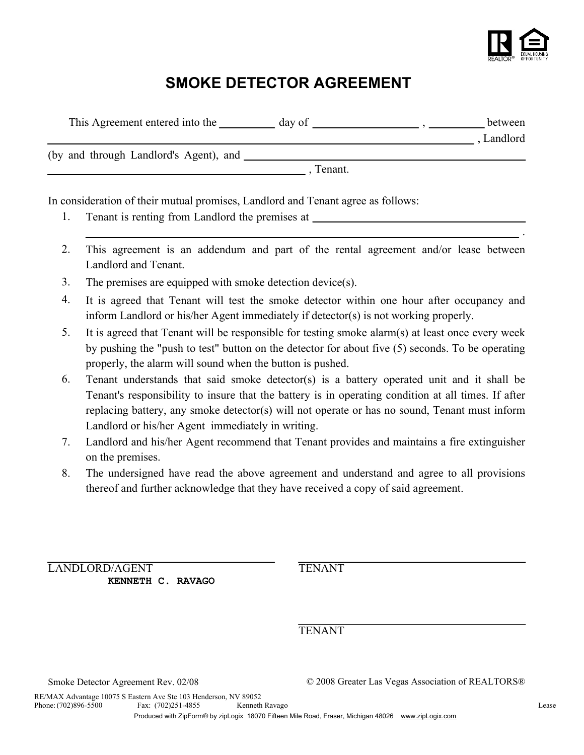

.

# **SMOKE DETECTOR AGREEMENT**

| This Agreement entered into the        | day of  | between  |
|----------------------------------------|---------|----------|
|                                        |         | Landlord |
| (by and through Landlord's Agent), and |         |          |
|                                        | Tenant. |          |
|                                        |         |          |

In consideration of their mutual promises, Landlord and Tenant agree as follows:

- 1. Tenant is renting from Landlord the premises at
- 2. This agreement is an addendum and part of the rental agreement and/or lease between Landlord and Tenant.
- 3. The premises are equipped with smoke detection device(s).
- 4. It is agreed that Tenant will test the smoke detector within one hour after occupancy and inform Landlord or his/her Agent immediately if detector(s) is not working properly.
- 5. It is agreed that Tenant will be responsible for testing smoke alarm(s) at least once every week by pushing the "push to test" button on the detector for about five (5) seconds. To be operating properly, the alarm will sound when the button is pushed.
- 6. Tenant understands that said smoke detector(s) is a battery operated unit and it shall be Tenant's responsibility to insure that the battery is in operating condition at all times. If after replacing battery, any smoke detector(s) will not operate or has no sound, Tenant must inform Landlord or his/her Agent immediately in writing.
- 7. Landlord and his/her Agent recommend that Tenant provides and maintains a fire extinguisher on the premises.
- 8. The undersigned have read the above agreement and understand and agree to all provisions thereof and further acknowledge that they have received a copy of said agreement.

LANDLORD/AGENT TENANT **KENNETH C. RAVAGO**

TENANT

Smoke Detector Agreement Rev. 02/08 © 2008 Greater Las Vegas Association of REALTORS®

Phone:  $(702)896 - 5500$ RE/MAX Advantage 10075 S Eastern Ave Ste 103 Henderson, NV 89052 Fax: (702)251-4855 Kenneth Ravago Lease Lease Communication Communication Communication Communication Communication Communication Communication Communication Communication Communication Communication Communication Communic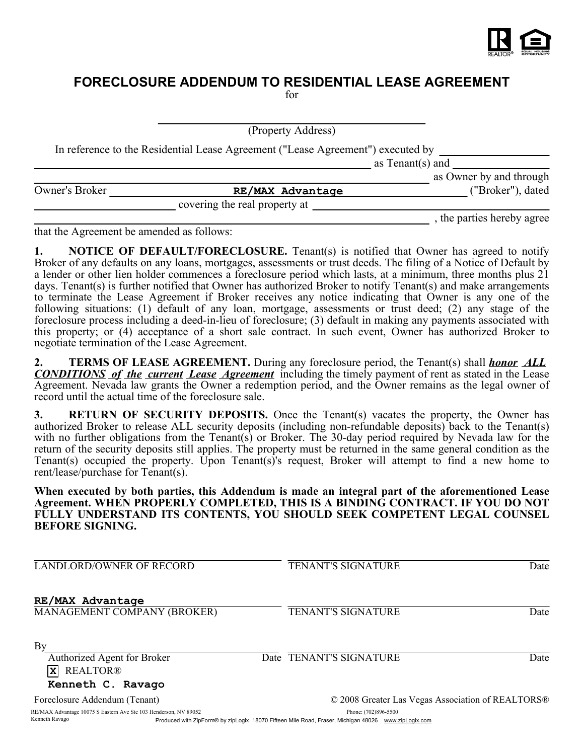

# **FORECLOSURE ADDENDUM TO RESIDENTIAL LEASE AGREEMENT**

for

(Property Address)

In reference to the Residential Lease Agreement ("Lease Agreement") executed by

as Tenant(s) and

|                |                               | as Owner by and through    |
|----------------|-------------------------------|----------------------------|
| Owner's Broker | RE/MAX Advantage              | ("Broker"), dated          |
|                | covering the real property at |                            |
|                |                               | , the parties hereby agree |

that the Agreement be amended as follows:

Kenneth Ravago

**1. NOTICE OF DEFAULT/FORECLOSURE.** Tenant(s) is notified that Owner has agreed to notify Broker of any defaults on any loans, mortgages, assessments or trust deeds. The filing of a Notice of Default by a lender or other lien holder commences a foreclosure period which lasts, at a minimum, three months plus 21 days. Tenant(s) is further notified that Owner has authorized Broker to notify Tenant(s) and make arrangements to terminate the Lease Agreement if Broker receives any notice indicating that Owner is any one of the following situations: (1) default of any loan, mortgage, assessments or trust deed; (2) any stage of the foreclosure process including a deed-in-lieu of foreclosure; (3) default in making any payments associated with this property; or (4) acceptance of a short sale contract. In such event, Owner has authorized Broker to negotiate termination of the Lease Agreement.

**2. TERMS OF LEASE AGREEMENT.** During any foreclosure period, the Tenant(s) shall *honor ALL CONDITIONS of the current Lease Agreement* including the timely payment of rent as stated in the Lease Agreement. Nevada law grants the Owner a redemption period, and the Owner remains as the legal owner of record until the actual time of the foreclosure sale.

**3. RETURN OF SECURITY DEPOSITS.** Once the Tenant(s) vacates the property, the Owner has authorized Broker to release ALL security deposits (including non-refundable deposits) back to the Tenant(s) with no further obligations from the Tenant(s) or Broker. The 30-day period required by Nevada law for the return of the security deposits still applies. The property must be returned in the same general condition as the Tenant(s) occupied the property. Upon Tenant(s)'s request, Broker will attempt to find a new home to rent/lease/purchase for Tenant(s).

**When executed by both parties, this Addendum is made an integral part of the aforementioned Lease Agreement. WHEN PROPERLY COMPLETED, THIS IS A BINDING CONTRACT. IF YOU DO NOT FULLY UNDERSTAND ITS CONTENTS, YOU SHOULD SEEK COMPETENT LEGAL COUNSEL BEFORE SIGNING.**

| <b>LANDLORD/OWNER OF RECORD</b>                                         | <b>TENANT'S SIGNATURE</b>                         | Date |
|-------------------------------------------------------------------------|---------------------------------------------------|------|
| RE/MAX Advantage<br>MANAGEMENT COMPANY (BROKER)                         | <b>TENANT'S SIGNATURE</b>                         | Date |
| By<br>Authorized Agent for Broker<br><b>REALTOR®</b><br>$\vert x \vert$ | Date TENANT'S SIGNATURE                           | Date |
| Kenneth C. Ravago                                                       |                                                   |      |
| Foreclosure Addendum (Tenant)                                           | © 2008 Greater Las Vegas Association of REALTORS® |      |
| RE/MAX Advantage 10075 S Eastern Ave Ste 103 Henderson, NV 89052        | Phone: (702)896-5500                              |      |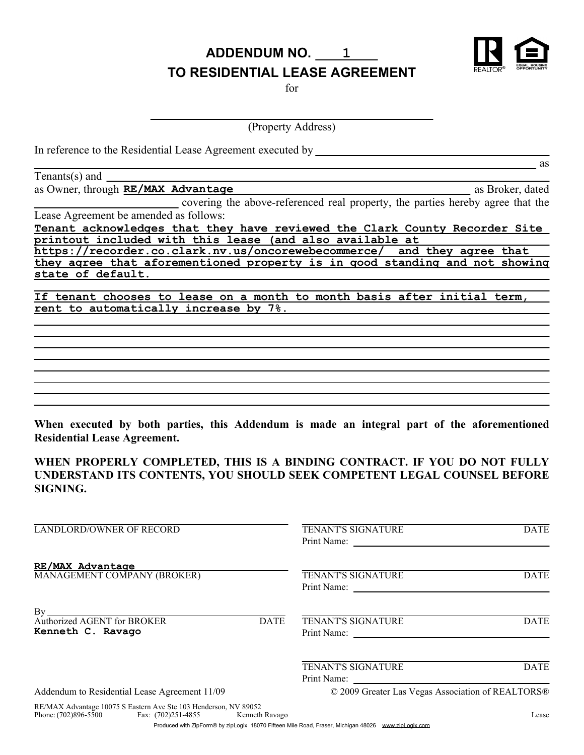**ADDENDUM NO. 1**



as

## **TO RESIDENTIAL LEASE AGREEMENT**

for

(Property Address)

In reference to the Residential Lease Agreement executed by

Tenants(s) and

as Owner, through **RE/MAX Advantage** and a set of the set of the set of the set of the set of the set of the set of the set of the set of the set of the set of the set of the set of the set of the set of the set of the set

covering the above-referenced real property, the parties hereby agree that the Lease Agreement be amended as follows:

**Tenant acknowledges that they have reviewed the Clark County Recorder Site printout included with this lease (and also available at** 

**https://recorder.co.clark.nv.us/oncorewebecommerce/ and they agree that they agree that aforementioned property is in good standing and not showing state of default.**

**If tenant chooses to lease on a month to month basis after initial term, rent to automatically increase by 7%.**

**When executed by both parties, this Addendum is made an integral part of the aforementioned Residential Lease Agreement.**

**WHEN PROPERLY COMPLETED, THIS IS A BINDING CONTRACT. IF YOU DO NOT FULLY UNDERSTAND ITS CONTENTS, YOU SHOULD SEEK COMPETENT LEGAL COUNSEL BEFORE SIGNING.**

| <b>LANDLORD/OWNER OF RECORD</b>                                       | TENANT'S SIGNATURE<br>Print Name:                 | <b>DATE</b> |
|-----------------------------------------------------------------------|---------------------------------------------------|-------------|
| RE/MAX Advantage<br>MANAGEMENT COMPANY (BROKER)                       | TENANT'S SIGNATURE<br>Print Name:                 | <b>DATE</b> |
| By<br>Authorized AGENT for BROKER<br><b>DATE</b><br>Kenneth C. Ravago | <b>TENANT'S SIGNATURE</b><br>Print Name:          | <b>DATE</b> |
|                                                                       | <b>TENANT'S SIGNATURE</b><br>Print Name:          | <b>DATE</b> |
| Addendum to Residential Lease Agreement 11/09                         | © 2009 Greater Las Vegas Association of REALTORS® |             |
| REMAY Advantage 10075 S Eastern Ave Ste 103 Henderson NV 89052        |                                                   |             |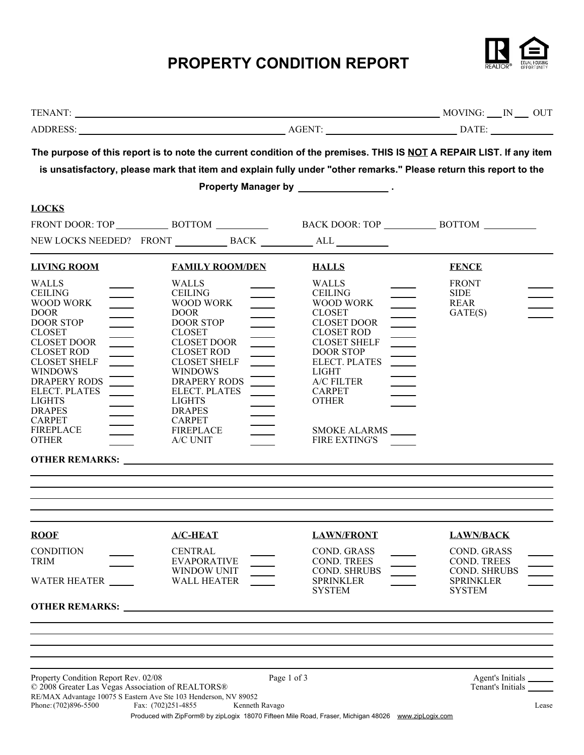# **PROPERTY CONDITION REPORT**



|                                                                                                                                                                                                                                                                                                                                                                                                                                                                                                                                                                                                                                                                                                                       | The purpose of this report is to note the current condition of the premises. THIS IS NOT A REPAIR LIST. If any item<br>is unsatisfactory, please mark that item and explain fully under "other remarks." Please return this report to the                                                                                                                                                                                                                                                                                                                                                                                                                                                          |                                                                                                                                                                                                                                                                                                                                                                                          |                                                                                                                   |
|-----------------------------------------------------------------------------------------------------------------------------------------------------------------------------------------------------------------------------------------------------------------------------------------------------------------------------------------------------------------------------------------------------------------------------------------------------------------------------------------------------------------------------------------------------------------------------------------------------------------------------------------------------------------------------------------------------------------------|----------------------------------------------------------------------------------------------------------------------------------------------------------------------------------------------------------------------------------------------------------------------------------------------------------------------------------------------------------------------------------------------------------------------------------------------------------------------------------------------------------------------------------------------------------------------------------------------------------------------------------------------------------------------------------------------------|------------------------------------------------------------------------------------------------------------------------------------------------------------------------------------------------------------------------------------------------------------------------------------------------------------------------------------------------------------------------------------------|-------------------------------------------------------------------------------------------------------------------|
| <b>LOCKS</b>                                                                                                                                                                                                                                                                                                                                                                                                                                                                                                                                                                                                                                                                                                          |                                                                                                                                                                                                                                                                                                                                                                                                                                                                                                                                                                                                                                                                                                    |                                                                                                                                                                                                                                                                                                                                                                                          |                                                                                                                   |
|                                                                                                                                                                                                                                                                                                                                                                                                                                                                                                                                                                                                                                                                                                                       |                                                                                                                                                                                                                                                                                                                                                                                                                                                                                                                                                                                                                                                                                                    |                                                                                                                                                                                                                                                                                                                                                                                          |                                                                                                                   |
| <b>LIVING ROOM</b><br><b>WALLS</b><br><b>CEILING</b><br>$\qquad \qquad$<br>WOOD WORK<br><b>DOOR</b><br>$\overline{\phantom{a}}$<br><b>DOOR STOP</b><br><b>CLOSET</b><br>$\begin{tabular}{ c c c c } \hline \quad \quad & \quad \quad & \quad \quad \\ \hline \quad \quad & \quad \quad & \quad \quad \\ \hline \quad \quad & \quad \quad & \quad \quad \\ \hline \quad \quad & \quad \quad & \quad \quad \\ \hline \end{tabular}$<br><b>CLOSET DOOR</b><br><b>CLOSET ROD</b><br>$\equiv$<br><b>CLOSET SHELF</b><br><b>WINDOWS</b><br>$\frac{1}{\sqrt{1-\frac{1}{2}}}$<br>DRAPERY RODS<br><b>ELECT. PLATES</b><br>$\frac{1}{2}$<br><b>LIGHTS</b><br><b>DRAPES</b><br><b>CARPET</b><br><b>FIREPLACE</b><br><b>OTHER</b> | <b>FAMILY ROOM/DEN</b><br><b>WALLS</b><br><b>CEILING</b><br>WOOD WORK<br>$\overline{\phantom{0}}$<br><b>DOOR</b><br><b>DOOR STOP</b><br><b>CLOSET</b><br>$\qquad \qquad$<br><b>CLOSET DOOR</b><br><b>CLOSET ROD</b><br><b>CLOSET SHELF</b><br>$\frac{1}{1}$<br><b>WINDOWS</b><br><b>DRAPERY RODS</b><br>ELECT. PLATES<br>$\frac{1}{2}$<br><b>LIGHTS</b><br><b>DRAPES</b><br><b>CARPET</b><br><b>FIREPLACE</b><br>$\overline{\phantom{0}}$<br>A/C UNIT<br><b>OTHER REMARKS:</b> <u>Contract the Second Second Second Second Second Second Second Second Second Second Second Second Second Second Second Second Second Second Second Second Second Second Second Second Second Second Second Se</u> | <b>HALLS</b><br><b>WALLS</b><br><b>CEILING</b><br>WOOD WORK<br>$\overline{\phantom{a}}$<br><b>CLOSET</b><br>$\qquad \qquad$<br>CLOSET DOOR<br><b>CLOSET ROD</b><br>$\qquad \qquad$<br><b>CLOSET SHELF</b><br><b>DOOR STOP</b><br><b>ELECT. PLATES</b><br>$\overline{\phantom{a}}$<br><b>LIGHT</b><br>A/C FILTER<br><b>CARPET</b><br><b>OTHER</b><br>SMOKE ALARMS<br><b>FIRE EXTING'S</b> | <b>FENCE</b><br><b>FRONT</b><br><b>SIDE</b><br><b>REAR</b><br>GATE(S)                                             |
| <b>ROOF</b><br><b>CONDITION</b><br>TRIM<br>WATER HEATER                                                                                                                                                                                                                                                                                                                                                                                                                                                                                                                                                                                                                                                               | $A/C-HEAT$<br><b>CENTRAL</b><br><b>EVAPORATIVE</b><br>WINDOW UNIT<br><b>WALL HEATER</b><br><b>OTHER REMARKS:</b> <u>Contract of the second second second second second second second second second second second second second second second second second second second second second second second second second second second</u>                                                                                                                                                                                                                                                                                                                                                               | <b>LAWN/FRONT</b><br><b>COND. GRASS</b><br>COND. TREES<br><b>COND. SHRUBS</b><br><b>SPRINKLER</b><br><b>SYSTEM</b>                                                                                                                                                                                                                                                                       | <b>LAWN/BACK</b><br><b>COND. GRASS</b><br>COND. TREES<br><b>COND. SHRUBS</b><br><b>SPRINKLER</b><br><b>SYSTEM</b> |
| Property Condition Report Rev. 02/08<br>© 2008 Greater Las Vegas Association of REALTORS®<br>Phone: (702)896-5500                                                                                                                                                                                                                                                                                                                                                                                                                                                                                                                                                                                                     | Page 1 of 3<br>RE/MAX Advantage 10075 S Eastern Ave Ste 103 Henderson, NV 89052<br>Fax: (702)251-4855<br>Kenneth Ravago<br>Produced with ZipForm® by zipLogix 18070 Fifteen Mile Road, Fraser, Michigan 48026 www.zipLogix.com                                                                                                                                                                                                                                                                                                                                                                                                                                                                     |                                                                                                                                                                                                                                                                                                                                                                                          | Agent's Initials<br>Tenant's Initials<br>Lease                                                                    |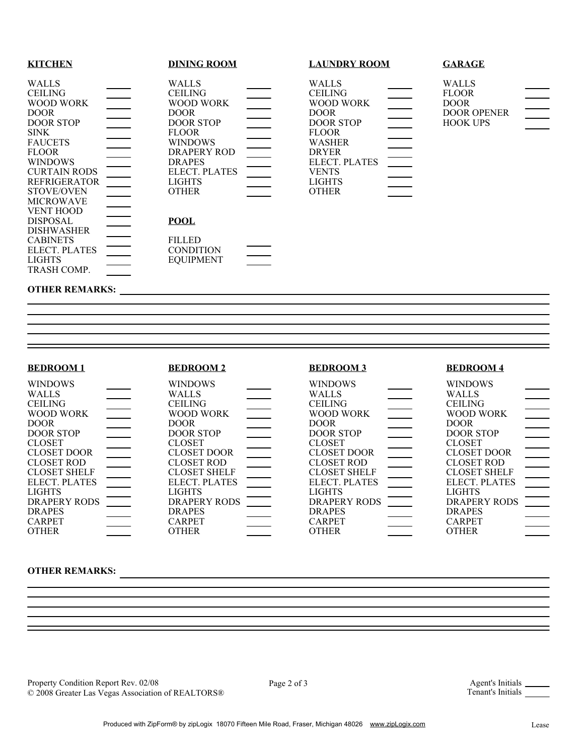| <b>KITCHEN</b>                                                                                                                                                                                                                                 |          | <b>DINING ROOM</b>                                                                                                                                                                                 | <b>LAUNDRY ROOM</b>                                                                                                                                                                               |                                      | <b>GARAGE</b>                                                                        |                                  |
|------------------------------------------------------------------------------------------------------------------------------------------------------------------------------------------------------------------------------------------------|----------|----------------------------------------------------------------------------------------------------------------------------------------------------------------------------------------------------|---------------------------------------------------------------------------------------------------------------------------------------------------------------------------------------------------|--------------------------------------|--------------------------------------------------------------------------------------|----------------------------------|
| <b>WALLS</b><br><b>CEILING</b><br>WOOD WORK<br><b>DOOR</b><br><b>DOOR STOP</b><br><b>SINK</b><br><b>FAUCETS</b><br><b>FLOOR</b><br><b>WINDOWS</b><br><b>CURTAIN RODS</b><br>REFRIGERATOR<br>STOVE/OVEN<br><b>MICROWAVE</b><br><b>VENT HOOD</b> | $\equiv$ | <b>WALLS</b><br><b>CEILING</b><br>WOOD WORK<br><b>DOOR</b><br><b>DOOR STOP</b><br><b>FLOOR</b><br><b>WINDOWS</b><br>DRAPERY ROD<br><b>DRAPES</b><br>ELECT. PLATES<br><b>LIGHTS</b><br><b>OTHER</b> | <b>WALLS</b><br><b>CEILING</b><br>WOOD WORK<br><b>DOOR</b><br><b>DOOR STOP</b><br><b>FLOOR</b><br><b>WASHER</b><br><b>DRYER</b><br>ELECT. PLATES<br><b>VENTS</b><br><b>LIGHTS</b><br><b>OTHER</b> | $\equiv$<br>$\overline{\phantom{a}}$ | <b>WALLS</b><br><b>FLOOR</b><br><b>DOOR</b><br><b>DOOR OPENER</b><br><b>HOOK UPS</b> | $\frac{1}{\sqrt{1-\frac{1}{2}}}$ |
| <b>DISPOSAL</b><br><b>DISHWASHER</b><br><b>CABINETS</b><br>ELECT. PLATES<br><b>LIGHTS</b><br>TRASH COMP.                                                                                                                                       |          | <b>POOL</b><br><b>FILLED</b><br><b>CONDITION</b><br><b>EQUIPMENT</b>                                                                                                                               |                                                                                                                                                                                                   |                                      |                                                                                      |                                  |
| <b>OTHER REMARKS:</b>                                                                                                                                                                                                                          |          |                                                                                                                                                                                                    |                                                                                                                                                                                                   |                                      |                                                                                      |                                  |

### **BEDROOM 1**

#### **BEDROOM 2**

#### WALLS CEILING WOOD WORK DOOR DOOR STOP CLOSET CLOSET DOOR CLOSET ROD CLOSET SHELF WINDOWS DRAPERY RODS ELECT. PLATES LIGHTS DRAPES CARPET OTHER WINDOWS WALLS **CEILING** WOOD WORK DOOR DOOR STOP CLOSET CLOSET DOOR CLOSET ROD CLOSET SHELF ELECT. PLATES LIGHTS DRAPERY RODS DRAPES CARPET OTHER WINDOWS WALLS **CEILING** WOOD WORK DOOR DOOR STOP CLOSET CLOSET DOOR CLOSET ROD CLOSET SHELF ELECT. PLATES LIGHTS DRAPERY RODS DRAPES CARPET OTHER WINDOWS WALLS CEILING WOOD WORK DOOR DOOR STOP CLOSET CLOSET DOOR CLOSET ROD CLOSET SHELF ELECT. PLATES LIGHTS DRAPERY RODS DRAPES CARPET OTHER

**BEDROOM 3**

### **OTHER REMARKS:**

Property Condition Report Rev. 02/08<br>  $\Box$  Page 2 of 3 Agent's Initials Agent's Initials Page 2 of 3 Agent's Initials Agent's Initials Agent's Initials Agent's Initials Agent's Initials Agent's Initials Agent's Initials Ag © 2008 Greater Las Vegas Association of REALTORS®

**BEDROOM 4**